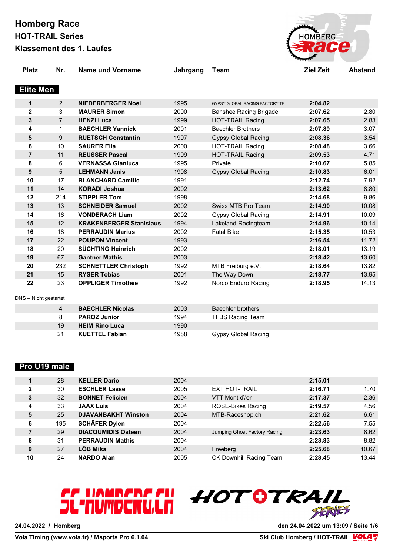# **Homberg Race**

**HOT-TRAIL Series**

**Klassement des 1. Laufes**



| <b>Platz</b>            | Nr.            | <b>Name und Vorname</b>        | Jahrgang | Team                           | <b>Ziel Zeit</b> | <b>Abstand</b> |
|-------------------------|----------------|--------------------------------|----------|--------------------------------|------------------|----------------|
| <b>Elite Men</b>        |                |                                |          |                                |                  |                |
| 1                       | 2              | <b>NIEDERBERGER Noel</b>       | 1995     | GYPSY GLOBAL RACING FACTORY TE | 2:04.82          |                |
| $\overline{\mathbf{2}}$ | 3              | <b>MAURER Simon</b>            | 2000     | <b>Banshee Racing Brigade</b>  | 2:07.62          | 2.80           |
| 3                       | $\overline{7}$ | <b>HENZI Luca</b>              | 1999     | <b>HOT-TRAIL Racing</b>        | 2:07.65          | 2.83           |
| 4                       | 1              | <b>BAECHLER Yannick</b>        | 2001     | <b>Baechler Brothers</b>       | 2:07.89          | 3.07           |
| 5                       | 9              | <b>RUETSCH Constantin</b>      | 1997     | <b>Gypsy Global Racing</b>     | 2:08.36          | 3.54           |
| 6                       | 10             | <b>SAURER Elia</b>             | 2000     | <b>HOT-TRAIL Racing</b>        | 2:08.48          | 3.66           |
| $\overline{7}$          | 11             | <b>REUSSER Pascal</b>          | 1999     | <b>HOT-TRAIL Racing</b>        | 2:09.53          | 4.71           |
| 8                       | 6              | <b>VERNASSA Gianluca</b>       | 1995     | Private                        | 2:10.67          | 5.85           |
| 9                       | 5              | <b>LEHMANN Janis</b>           | 1998     | <b>Gypsy Global Racing</b>     | 2:10.83          | 6.01           |
| 10                      | 17             | <b>BLANCHARD Camille</b>       | 1991     |                                | 2:12.74          | 7.92           |
| 11                      | 14             | <b>KORADI Joshua</b>           | 2002     |                                | 2:13.62          | 8.80           |
| 12                      | 214            | <b>STIPPLER Tom</b>            | 1998     |                                | 2:14.68          | 9.86           |
| 13                      | 13             | <b>SCHNEIDER Samuel</b>        | 2002     | Swiss MTB Pro Team             | 2:14.90          | 10.08          |
| 14                      | 16             | <b>VONDERACH Liam</b>          | 2002     | <b>Gypsy Global Racing</b>     | 2:14.91          | 10.09          |
| 15                      | 12             | <b>KRAKENBERGER Stanislaus</b> | 1994     | Lakeland-Racingteam            | 2:14.96          | 10.14          |
| 16                      | 18             | <b>PERRAUDIN Marius</b>        | 2002     | <b>Fatal Bike</b>              | 2:15.35          | 10.53          |
| 17                      | 22             | <b>POUPON Vincent</b>          | 1993     |                                | 2:16.54          | 11.72          |
| 18                      | 20             | <b>SÜCHTING Heinrich</b>       | 2002     |                                | 2:18.01          | 13.19          |
| 19                      | 67             | <b>Gantner Mathis</b>          | 2003     |                                | 2:18.42          | 13.60          |
| 20                      | 232            | <b>SCHNETTLER Christoph</b>    | 1992     | MTB Freiburg e.V.              | 2:18.64          | 13.82          |
| 21                      | 15             | <b>RYSER Tobias</b>            | 2001     | The Way Down                   | 2:18.77          | 13.95          |
| 22                      | 23             | <b>OPPLIGER Timothée</b>       | 1992     | Norco Enduro Racing            | 2:18.95          | 14.13          |
| DNS - Nicht gestartet   |                |                                |          |                                |                  |                |
|                         | 4              | <b>BAECHLER Nicolas</b>        | 2003     | <b>Baechler brothers</b>       |                  |                |
|                         | 8              | <b>PAROZ Junior</b>            | 1994     | <b>TFBS Racing Team</b>        |                  |                |
|                         | 19             | <b>HEIM Rino Luca</b>          | 1990     |                                |                  |                |

#### **Pro U19 male**

|              | 28  | <b>KELLER Dario</b>        | 2004 |                              | 2:15.01 |       |
|--------------|-----|----------------------------|------|------------------------------|---------|-------|
| $\mathbf{2}$ | 30  | <b>ESCHLER Lasse</b>       | 2005 | <b>EXT HOT-TRAIL</b>         | 2:16.71 | 1.70  |
| 3            | 32  | <b>BONNET Felicien</b>     | 2004 | VTT Mont d\'or               | 2:17.37 | 2.36  |
| 4            | 33  | <b>JAAX Luis</b>           | 2004 | ROSE-Bikes Racing            | 2:19.57 | 4.56  |
| 5            | 25  | <b>DJAVANBAKHT Winston</b> | 2004 | MTB-Raceshop.ch              | 2:21.62 | 6.61  |
| 6            | 195 | <b>SCHÄFER Dylen</b>       | 2004 |                              | 2:22.56 | 7.55  |
|              | 29  | <b>DIACOUMIDIS Osteen</b>  | 2004 | Jumping Ghost Factory Racing | 2:23.63 | 8.62  |
| 8            | 31  | <b>PERRAUDIN Mathis</b>    | 2004 |                              | 2:23.83 | 8.82  |
| 9            | 27  | LÖB Mika                   | 2004 | Freeberg                     | 2:25.68 | 10.67 |
| 10           | 24  | <b>NARDO Alan</b>          | 2005 | CK Downhill Racing Team      | 2:28.45 | 13.44 |

**KUETTEL Fabian** 1988 Gypsy Global Racing

# *FF UANNERFFUL*<br>JL'AUMDERULA



**24.04.2022 / Homberg den 24.04.2022 um 13:09 / Seite 1/6**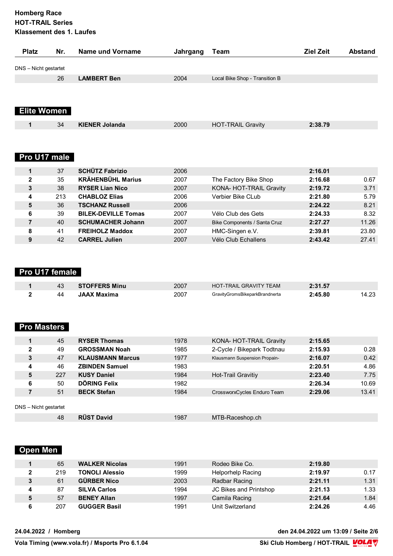| <b>Platz</b>          | Nr. | Name und Vorname      | Jahrgang | Team                           | <b>Ziel Zeit</b> | <b>Abstand</b> |
|-----------------------|-----|-----------------------|----------|--------------------------------|------------------|----------------|
| DNS - Nicht gestartet |     |                       |          |                                |                  |                |
|                       | 26  | <b>LAMBERT Ben</b>    | 2004     | Local Bike Shop - Transition B |                  |                |
| <b>Elite Women</b>    |     |                       |          |                                |                  |                |
| 1                     | 34  | <b>KIENER Jolanda</b> | 2000     | <b>HOT-TRAIL Gravity</b>       | 2:38.79          |                |
|                       |     |                       |          |                                |                  |                |

#### **Pro U17 male**

|              | 37  | <b>SCHÜTZ Fabrizio</b>     | 2006 |                              | 2:16.01 |       |
|--------------|-----|----------------------------|------|------------------------------|---------|-------|
| $\mathbf{2}$ | 35  | <b>KRÄHENBÜHL Marius</b>   | 2007 | The Factory Bike Shop        | 2:16.68 | 0.67  |
| 3            | 38  | <b>RYSER Lian Nico</b>     | 2007 | KONA- HOT-TRAIL Gravity      | 2:19.72 | 3.71  |
| 4            | 213 | <b>CHABLOZ Elias</b>       | 2006 | Verbier Bike CLub            | 2:21.80 | 5.79  |
| 5            | 36  | <b>TSCHANZ Russell</b>     | 2006 |                              | 2:24.22 | 8.21  |
| 6            | 39  | <b>BILEK-DEVILLE Tomas</b> | 2007 | Vélo Club des Gets           | 2:24.33 | 8.32  |
|              | 40  | <b>SCHUMACHER Johann</b>   | 2007 | Bike Components / Santa Cruz | 2:27.27 | 11.26 |
| 8            | 41  | <b>FREIHOLZ Maddox</b>     | 2007 | HMC-Singen e.V.              | 2:39.81 | 23.80 |
| 9            | 42  | <b>CARREL Julien</b>       | 2007 | Vélo Club Echallens          | 2:43.42 | 27.41 |

## **Pro U17 female**

|    | <b>STOFFERS Minu</b> | 2007 | <b>HOT-TRAIL GRAVITY TEAM</b>  | 2:31.57 |       |
|----|----------------------|------|--------------------------------|---------|-------|
| 44 | <b>JAAX Maxima</b>   | 2007 | GravityGromsBikeparkBrandnerta | 2:45.80 | 14.23 |

### **Pro Masters**

|                       | 45  | <b>RYSER Thomas</b>     | 1978 | KONA- HOT-TRAIL Gravity       | 2:15.65 |       |
|-----------------------|-----|-------------------------|------|-------------------------------|---------|-------|
| $\mathbf{2}$          | 49  | <b>GROSSMAN Noah</b>    | 1985 | 2-Cycle / Bikepark Todtnau    | 2:15.93 | 0.28  |
| 3                     | 47  | <b>KLAUSMANN Marcus</b> | 1977 | Klausmann Suspension Propain- | 2:16.07 | 0.42  |
| 4                     | 46  | <b>ZBINDEN Samuel</b>   | 1983 |                               | 2:20.51 | 4.86  |
| 5                     | 227 | <b>KUSY Daniel</b>      | 1984 | Hot-Trail Gravitiy            | 2:23.40 | 7.75  |
| 6                     | 50  | DÖRING Felix            | 1982 |                               | 2:26.34 | 10.69 |
|                       | 51  | <b>BECK Stefan</b>      | 1984 | CrossworxCycles Enduro Team   | 2:29.06 | 13.41 |
| DNS - Nicht gestartet |     |                         |      |                               |         |       |
|                       | 48  | <b>RÜST David</b>       | 1987 | MTB-Raceshop.ch               |         |       |
|                       |     |                         |      |                               |         |       |

# **Open Men**

|   | 65  | <b>WALKER Nicolas</b> | 1991 | Rodeo Bike Co.         | 2:19.80 |      |
|---|-----|-----------------------|------|------------------------|---------|------|
|   | 219 | <b>TONOLI Alessio</b> | 1999 | Helporhelp Racing      | 2:19.97 | 0.17 |
| 3 | 61  | <b>GÜRBER Nico</b>    | 2003 | Radbar Racing          | 2:21.11 | 1.31 |
|   | 87  | <b>SILVA Carlos</b>   | 1994 | JC Bikes and Printshop | 2:21.13 | 1.33 |
|   | 57  | <b>BENEY Allan</b>    | 1997 | Camila Racing          | 2:21.64 | 1.84 |
| 6 | 207 | <b>GUGGER Basil</b>   | 1991 | Unit Switzerland       | 2:24.26 | 4.46 |

**24.04.2022 / Homberg den 24.04.2022 um 13:09 / Seite 2/6**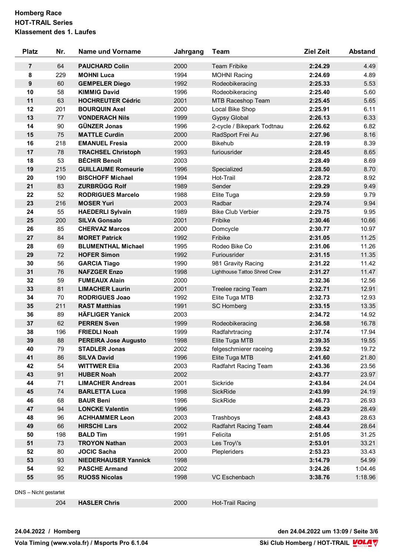| <b>Platz</b>   | Nr. | <b>Name und Vorname</b>     | Jahrgang | Team                         | <b>Ziel Zeit</b> | <b>Abstand</b> |
|----------------|-----|-----------------------------|----------|------------------------------|------------------|----------------|
| $\overline{7}$ | 64  | <b>PAUCHARD Colin</b>       | 2000     | <b>Team Fribike</b>          | 2:24.29          | 4.49           |
| 8              | 229 | <b>MOHNI Luca</b>           | 1994     | <b>MOHNI Racing</b>          | 2:24.69          | 4.89           |
| 9              | 60  | <b>GEMPELER Diego</b>       | 1992     | Rodeobikeracing              | 2:25.33          | 5.53           |
| 10             | 58  | <b>KIMMIG David</b>         | 1996     | Rodeobikeracing              | 2:25.40          | 5.60           |
| 11             | 63  | <b>HOCHREUTER Cédric</b>    | 2001     | MTB Raceshop Team            | 2:25.45          | 5.65           |
| 12             | 201 | <b>BOURQUIN Axel</b>        | 2000     | Local Bike Shop              | 2:25.91          | 6.11           |
| 13             | 77  | <b>VONDERACH Nils</b>       | 1999     | <b>Gypsy Global</b>          | 2:26.13          | 6.33           |
| 14             | 90  | <b>GÜNZER Jonas</b>         | 1996     | 2-cycle / Bikepark Todtnau   | 2:26.62          | 6.82           |
| 15             | 75  | <b>MATTLE Curdin</b>        | 2000     | RadSport Frei Au             | 2:27.96          | 8.16           |
| 16             | 218 | <b>EMANUEL Fresia</b>       | 2000     | <b>Bikehub</b>               | 2:28.19          | 8.39           |
| 17             | 78  | <b>TRACHSEL Christoph</b>   | 1993     | furiousrider                 | 2:28.45          | 8.65           |
| 18             | 53  | <b>BÉCHIR Benoît</b>        | 2003     |                              | 2:28.49          | 8.69           |
| 19             | 215 | <b>GUILLAUME Romeurie</b>   | 1996     | Specialized                  | 2:28.50          | 8.70           |
| 20             | 190 | <b>BISCHOFF Michael</b>     | 1994     | Hot-Trail                    | 2:28.72          | 8.92           |
| 21             | 83  | <b>ZURBRÜGG Rolf</b>        | 1989     | Sender                       | 2:29.29          | 9.49           |
| 22             | 52  | <b>RODRIGUES Marcelo</b>    | 1988     | Elite Tuga                   | 2:29.59          | 9.79           |
| 23             | 216 | <b>MOSER Yuri</b>           | 2003     | Radbar                       | 2:29.74          | 9.94           |
| 24             | 55  | <b>HAEDERLI Sylvain</b>     | 1989     | <b>Bike Club Verbier</b>     | 2:29.75          | 9.95           |
| 25             | 200 | <b>SILVA Gonsalo</b>        | 2001     | Fribike                      | 2:30.46          | 10.66          |
| 26             | 85  | <b>CHERVAZ Marcos</b>       | 2000     | Domcycle                     | 2:30.77          | 10.97          |
| 27             | 84  | <b>MORET Patrick</b>        | 1992     | Fribike                      | 2:31.05          | 11.25          |
| 28             | 69  | <b>BLUMENTHAL Michael</b>   | 1995     | Rodeo Bike Co                | 2:31.06          | 11.26          |
| 29             | 72  | <b>HOFER Simon</b>          | 1992     | Furiousrider                 | 2:31.15          | 11.35          |
| 30             | 56  | <b>GARCIA Tiago</b>         | 1990     | 981 Gravity Racing           | 2:31.22          | 11.42          |
| 31             | 76  | <b>NAFZGER Enzo</b>         | 1998     | Lighthouse Tattoo Shred Crew | 2:31.27          | 11.47          |
| 32             | 59  | <b>FUMEAUX Alain</b>        | 2000     |                              | 2:32.36          | 12.56          |
| 33             | 81  | <b>LIMACHER Laurin</b>      | 2001     | Treelee racing Team          | 2:32.71          | 12.91          |
| 34             | 70  | <b>RODRIGUES Joao</b>       | 1992     | Elite Tuga MTB               | 2:32.73          | 12.93          |
| 35             | 211 | <b>RAST Matthias</b>        | 1991     |                              | 2:33.15          | 13.35          |
| 36             | 89  | <b>HÄFLIGER Yanick</b>      | 2003     | <b>SC Homberg</b>            | 2:34.72          | 14.92          |
|                |     |                             |          |                              |                  |                |
| 37             | 62  | <b>PERREN Sven</b>          | 1999     | Rodeobikeracing              | 2:36.58          | 16.78          |
| 38             | 196 | <b>FRIEDLI Noah</b>         | 1999     | Radfahrtracing               | 2:37.74          | 17.94          |
| 39             | 88  | <b>PEREIRA Jose Augusto</b> | 1998     | Elite Tuga MTB               | 2:39.35          | 19.55          |
| 40             | 79  | <b>STADLER Jonas</b>        | 2002     | felgeschmierer raceing       | 2:39.52          | 19.72          |
| 41             | 86  | <b>SILVA David</b>          | 1996     | Elite Tuga MTB               | 2:41.60          | 21.80          |
| 42             | 54  | <b>WITTWER Elia</b>         | 2003     | Radfahrt Racing Team         | 2:43.36          | 23.56          |
| 43             | 91  | <b>HUBER Noah</b>           | 2002     |                              | 2:43.77          | 23.97          |
| 44             | 71  | <b>LIMACHER Andreas</b>     | 2001     | Sickride                     | 2:43.84          | 24.04          |
| 45             | 74  | <b>BARLETTA Luca</b>        | 1998     | SickRide                     | 2:43.99          | 24.19          |
| 46             | 68  | <b>BAUR Beni</b>            | 1996     | SickRide                     | 2:46.73          | 26.93          |
| 47             | 94  | <b>LONCKE Valentin</b>      | 1996     |                              | 2:48.29          | 28.49          |
| 48             | 96  | <b>ACHHAMMER Leon</b>       | 2003     | Trashboys                    | 2:48.43          | 28.63          |
| 49             | 66  | <b>HIRSCHI Lars</b>         | 2002     | Radfahrt Racing Team         | 2:48.44          | 28.64          |
| 50             | 198 | <b>BALD Tim</b>             | 1991     | Felicita                     | 2:51.05          | 31.25          |
| 51             | 73  | <b>TROYON Nathan</b>        | 2003     | Les Troy\'s                  | 2:53.01          | 33.21          |
| 52             | 80  | <b>JOCIC Sacha</b>          | 2000     | Plepleriders                 | 2:53.23          | 33.43          |
| 53             | 93  | <b>NIEDERHAUSER Yannick</b> | 1998     |                              | 3:14.79          | 54.99          |
| 54             | 92  | <b>PASCHE Armand</b>        | 2002     |                              | 3:24.26          | 1:04.46        |
| 55             | 95  | <b>RUOSS Nicolas</b>        | 1998     | VC Eschenbach                | 3:38.76          | 1:18.96        |

**HASLER Chris** 2000 Hot-Trail Racing

**24.04.2022 / Homberg den 24.04.2022 um 13:09 / Seite 3/6**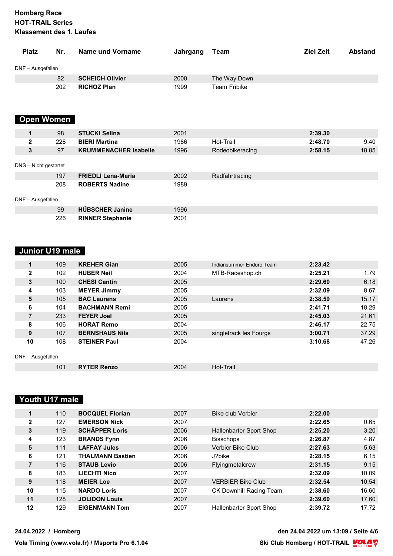| <b>Platz</b>          | Nr. | <b>Name und Vorname</b>      | Jahrgang | Team                | <b>Ziel Zeit</b> | <b>Abstand</b> |
|-----------------------|-----|------------------------------|----------|---------------------|------------------|----------------|
| DNF - Ausgefallen     |     |                              |          |                     |                  |                |
|                       | 82  | <b>SCHEICH Olivier</b>       | 2000     | The Way Down        |                  |                |
|                       | 202 | <b>RICHOZ Plan</b>           | 1999     | <b>Team Fribike</b> |                  |                |
| <b>Open Women</b>     |     |                              |          |                     |                  |                |
| 1                     | 98  | <b>STUCKI Selina</b>         | 2001     |                     | 2:39.30          |                |
| 2                     | 228 | <b>BIERI Martina</b>         | 1986     | Hot-Trail           | 2:48.70          | 9.40           |
| 3                     | 97  | <b>KRUMMENACHER Isabelle</b> | 1996     | Rodeobikeracing     | 2:58.15          | 18.85          |
| DNS - Nicht gestartet |     |                              |          |                     |                  |                |
|                       | 197 | <b>FRIEDLI Lena-Maria</b>    | 2002     | Radfahrtracing      |                  |                |
|                       | 208 | <b>ROBERTS Nadine</b>        | 1989     |                     |                  |                |
| DNF - Ausgefallen     |     |                              |          |                     |                  |                |
|                       | 99  | <b>HÜBSCHER Janine</b>       | 1996     |                     |                  |                |
|                       | 226 | <b>RINNER Stephanie</b>      | 2001     |                     |                  |                |

# **Junior U19 male**

|                   | 109 | <b>KREHER Gian</b>    | 2005 | Indiansummer Enduro Team | 2:23.42 |       |
|-------------------|-----|-----------------------|------|--------------------------|---------|-------|
| $\mathbf{2}$      | 102 | <b>HUBER Neil</b>     | 2004 | MTB-Raceshop.ch          | 2:25.21 | 1.79  |
| 3                 | 100 | <b>CHESI Cantin</b>   | 2005 |                          | 2:29.60 | 6.18  |
| 4                 | 103 | <b>MEYER Jimmy</b>    | 2005 |                          | 2:32.09 | 8.67  |
| 5                 | 105 | <b>BAC Laurens</b>    | 2005 | Laurens                  | 2:38.59 | 15.17 |
| 6                 | 104 | <b>BACHMANN Remi</b>  | 2005 |                          | 2:41.71 | 18.29 |
| 7                 | 233 | <b>FEYER Joel</b>     | 2005 |                          | 2:45.03 | 21.61 |
| 8                 | 106 | <b>HORAT Remo</b>     | 2004 |                          | 2:46.17 | 22.75 |
| 9                 | 107 | <b>BERNSHAUS Nils</b> | 2005 | singletrack les Fourgs   | 3:00.71 | 37.29 |
| 10                | 108 | <b>STEINER Paul</b>   | 2004 |                          | 3:10.68 | 47.26 |
| DNF - Ausgefallen |     |                       |      |                          |         |       |
|                   | 101 | <b>RYTER Renzo</b>    | 2004 | Hot-Trail                |         |       |

#### **Youth U17 male**

| 0.65  |
|-------|
|       |
|       |
| 3.20  |
| 4.87  |
| 5.63  |
| 6.15  |
| 9.15  |
| 10.09 |
| 10.54 |
| 16.60 |
| 17.60 |
| 17.72 |
|       |

**24.04.2022 / Homberg den 24.04.2022 um 13:09 / Seite 4/6**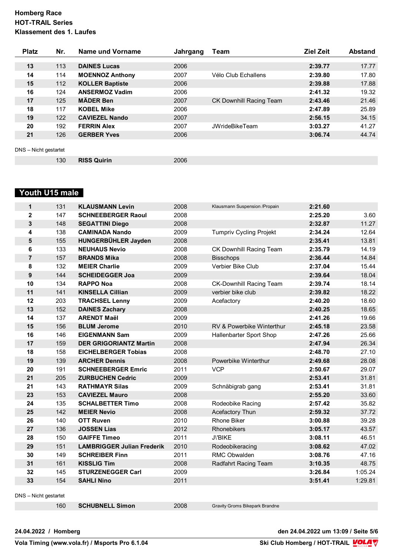| <b>Platz</b>          | Nr. | Name und Vorname       | Jahrgang | Team                           | <b>Ziel Zeit</b> | <b>Abstand</b> |
|-----------------------|-----|------------------------|----------|--------------------------------|------------------|----------------|
|                       |     |                        |          |                                |                  |                |
| 13                    | 113 | <b>DAINES Lucas</b>    | 2006     |                                | 2:39.77          | 17.77          |
| 14                    | 114 | <b>MOENNOZ Anthony</b> | 2007     | Vélo Club Echallens            | 2:39.80          | 17.80          |
| 15                    | 112 | <b>KOLLER Baptiste</b> | 2006     |                                | 2:39.88          | 17.88          |
| 16                    | 124 | <b>ANSERMOZ Vadim</b>  | 2006     |                                | 2:41.32          | 19.32          |
| 17                    | 125 | <b>MÄDER Ben</b>       | 2007     | <b>CK Downhill Racing Team</b> | 2:43.46          | 21.46          |
| 18                    | 117 | <b>KOBEL Mike</b>      | 2006     |                                | 2:47.89          | 25.89          |
| 19                    | 122 | <b>CAVIEZEL Nando</b>  | 2007     |                                | 2:56.15          | 34.15          |
| 20                    | 192 | <b>FERRIN Alex</b>     | 2007     | <b>JWrideBikeTeam</b>          | 3:03.27          | 41.27          |
| 21                    | 126 | <b>GERBER Yves</b>     | 2006     |                                | 3:06.74          | 44.74          |
|                       |     |                        |          |                                |                  |                |
| DNS - Nicht gestartet |     |                        |          |                                |                  |                |
|                       | 130 | <b>RISS Quirin</b>     | 2006     |                                |                  |                |

#### **Youth U15 male**

| $\mathbf{1}$   | 131 | <b>KLAUSMANN Levin</b>            | 2008 | Klausmann Suspension / Propain | 2:21.60 |         |
|----------------|-----|-----------------------------------|------|--------------------------------|---------|---------|
| $\mathbf{2}$   | 147 | <b>SCHNEEBERGER Raoul</b>         | 2008 |                                | 2:25.20 | 3.60    |
| 3              | 148 | <b>SEGATTINI Diego</b>            | 2008 |                                | 2:32.87 | 11.27   |
| 4              | 138 | <b>CAMINADA Nando</b>             | 2009 | <b>Tumpriv Cycling Projekt</b> | 2:34.24 | 12.64   |
| 5              | 155 | HUNGERBÜHLER Jayden               | 2008 |                                | 2:35.41 | 13.81   |
| 6              | 133 | <b>NEUHAUS Nevio</b>              | 2008 | CK Downhill Racing Team        | 2:35.79 | 14.19   |
| $\overline{7}$ | 157 | <b>BRANDS Mika</b>                | 2008 | <b>Bisschops</b>               | 2:36.44 | 14.84   |
| 8              | 132 | <b>MEIER Charlie</b>              | 2009 | Verbier Bike Club              | 2:37.04 | 15.44   |
| 9              | 144 | <b>SCHEIDEGGER Joa</b>            | 2009 |                                | 2:39.64 | 18.04   |
| 10             | 134 | <b>RAPPO Noa</b>                  | 2008 | <b>CK-Downhill Racing Team</b> | 2:39.74 | 18.14   |
| 11             | 141 | <b>KINSELLA Cillian</b>           | 2009 | verbier bike club              | 2:39.82 | 18.22   |
| 12             | 203 | <b>TRACHSEL Lenny</b>             | 2009 | Acefactory                     | 2:40.20 | 18.60   |
| 13             | 152 | <b>DAINES Zachary</b>             | 2008 |                                | 2:40.25 | 18.65   |
| 14             | 137 | <b>ARENDT Maël</b>                | 2009 |                                | 2:41.26 | 19.66   |
| 15             | 156 | <b>BLUM Jerome</b>                | 2010 | RV & Powerbike Winterthur      | 2:45.18 | 23.58   |
| 16             | 146 | <b>EIGENMANN Sam</b>              | 2009 | Hallenbarter Sport Shop        | 2:47.26 | 25.66   |
| 17             | 159 | <b>DER GRIGORIANTZ Martin</b>     | 2008 |                                | 2:47.94 | 26.34   |
| 18             | 158 | <b>EICHELBERGER Tobias</b>        | 2008 |                                | 2:48.70 | 27.10   |
| 19             | 139 | <b>ARCHER Dennis</b>              | 2008 | Powerbike Winterthur           | 2:49.68 | 28.08   |
| 20             | 191 | <b>SCHNEEBERGER Emric</b>         | 2011 | <b>VCP</b>                     | 2:50.67 | 29.07   |
| 21             | 205 | <b>ZURBUCHEN Cedric</b>           | 2009 |                                | 2:53.41 | 31.81   |
| 21             | 143 | <b>RATHMAYR Silas</b>             | 2009 | Schnäbigrab gang               | 2:53.41 | 31.81   |
| 23             | 153 | <b>CAVIEZEL Mauro</b>             | 2008 |                                | 2:55.20 | 33.60   |
| 24             | 135 | <b>SCHALBETTER Timo</b>           | 2008 | Rodeobike Racing               | 2:57.42 | 35.82   |
| 25             | 142 | <b>MEIER Nevio</b>                | 2008 | Acefactory Thun                | 2:59.32 | 37.72   |
| 26             | 140 | <b>OTT Ruven</b>                  | 2010 | <b>Rhone Biker</b>             | 3:00.88 | 39.28   |
| 27             | 136 | <b>JOSSEN Lias</b>                | 2012 | Rhonebikers                    | 3:05.17 | 43.57   |
| 28             | 150 | <b>GAIFFE Timeo</b>               | 2011 | J\'BIKE                        | 3:08.11 | 46.51   |
| 29             | 151 | <b>LAMBRIGGER Julian Frederik</b> | 2010 | Rodeobikeracing                | 3:08.62 | 47.02   |
| 30             | 149 | <b>SCHREIBER Finn</b>             | 2011 | <b>RMC Obwalden</b>            | 3:08.76 | 47.16   |
| 31             | 161 | <b>KISSLIG Tim</b>                | 2008 | Radfahrt Racing Team           | 3:10.35 | 48.75   |
| 32             | 145 | <b>STURZENEGGER Carl</b>          | 2009 |                                | 3:26.84 | 1:05.24 |
| 33             | 154 | <b>SAHLI Nino</b>                 | 2011 |                                | 3:51.41 | 1:29.81 |

DNS – Nicht gestartet

**SCHUBNELL Simon** 2008 Gravity Groms Bikepark Brandne